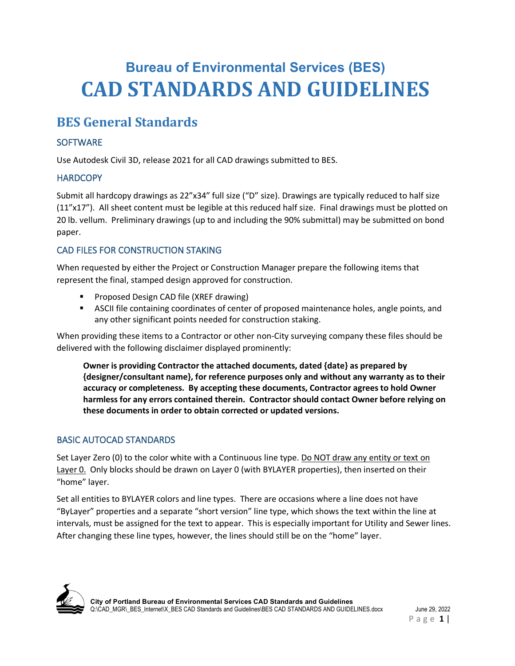# **Bureau of Environmental Services (BES) CAD STANDARDS AND GUIDELINES**

## **BES General Standards**

## **SOFTWARE**

Use Autodesk Civil 3D, release 2021 for all CAD drawings submitted to BES.

## **HARDCOPY**

Submit all hardcopy drawings as 22"x34" full size ("D" size). Drawings are typically reduced to half size (11"x17"). All sheet content must be legible at this reduced half size. Final drawings must be plotted on 20 lb. vellum. Preliminary drawings (up to and including the 90% submittal) may be submitted on bond paper.

## CAD FILES FOR CONSTRUCTION STAKING

When requested by either the Project or Construction Manager prepare the following items that represent the final, stamped design approved for construction.

- Proposed Design CAD file (XREF drawing)
- ASCII file containing coordinates of center of proposed maintenance holes, angle points, and any other significant points needed for construction staking.

When providing these items to a Contractor or other non-City surveying company these files should be delivered with the following disclaimer displayed prominently:

**Owner is providing Contractor the attached documents, dated {date} as prepared by {designer/consultant name}, for reference purposes only and without any warranty as to their accuracy or completeness. By accepting these documents, Contractor agrees to hold Owner harmless for any errors contained therein. Contractor should contact Owner before relying on these documents in order to obtain corrected or updated versions.**

## BASIC AUTOCAD STANDARDS

Set Layer Zero (0) to the color white with a Continuous line type. Do NOT draw any entity or text on Layer 0. Only blocks should be drawn on Layer 0 (with BYLAYER properties), then inserted on their "home" layer.

Set all entities to BYLAYER colors and line types. There are occasions where a line does not have "ByLayer" properties and a separate "short version" line type, which shows the text within the line at intervals, must be assigned for the text to appear. This is especially important for Utility and Sewer lines. After changing these line types, however, the lines should still be on the "home" layer.

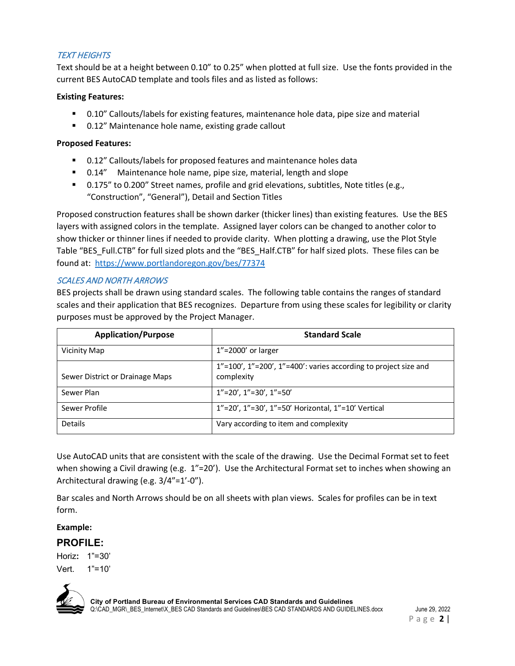### **TEXT HEIGHTS**

Text should be at a height between 0.10" to 0.25" when plotted at full size. Use the fonts provided in the current BES AutoCAD template and tools files and as listed as follows:

#### **Existing Features:**

- 0.10" Callouts/labels for existing features, maintenance hole data, pipe size and material
- 0.12" Maintenance hole name, existing grade callout

#### **Proposed Features:**

- 0.12" Callouts/labels for proposed features and maintenance holes data
- 0.14" Maintenance hole name, pipe size, material, length and slope
- 0.175" to 0.200" Street names, profile and grid elevations, subtitles, Note titles (e.g., "Construction", "General"), Detail and Section Titles

Proposed construction features shall be shown darker (thicker lines) than existing features. Use the BES layers with assigned colors in the template. Assigned layer colors can be changed to another color to show thicker or thinner lines if needed to provide clarity. When plotting a drawing, use the Plot Style Table "BES\_Full.CTB" for full sized plots and the "BES\_Half.CTB" for half sized plots. These files can be found at: <https://www.portlandoregon.gov/bes/77374>

#### SCALES AND NORTH ARROWS

BES projects shall be drawn using standard scales. The following table contains the ranges of standard scales and their application that BES recognizes. Departure from using these scales for legibility or clarity purposes must be approved by the Project Manager.

| <b>Application/Purpose</b>      | <b>Standard Scale</b>                                                                     |
|---------------------------------|-------------------------------------------------------------------------------------------|
| Vicinity Map                    | $1" = 2000'$ or larger                                                                    |
| Sewer District or Drainage Maps | $1"$ = 100', $1"$ = 200', $1"$ = 400': varies according to project size and<br>complexity |
| Sewer Plan                      | $1"$ = 20', $1"$ = 30', $1"$ = 50'                                                        |
| Sewer Profile                   | 1"=20', 1"=30', 1"=50' Horizontal, 1"=10' Vertical                                        |
| <b>Details</b>                  | Vary according to item and complexity                                                     |

Use AutoCAD units that are consistent with the scale of the drawing. Use the Decimal Format set to feet when showing a Civil drawing (e.g. 1"=20'). Use the Architectural Format set to inches when showing an Architectural drawing (e.g. 3/4"=1'-0").

Bar scales and North Arrows should be on all sheets with plan views. Scales for profiles can be in text form.

#### **Example:**

## **PROFILE:**

Horiz**:** 1"=30' Vert. 1"=10'



**City of Portland Bureau of Environmental Services CAD Standards and Guidelines** Q:\CAD\_MGR\\_BES\_Internet\X\_BES CAD Standards and Guidelines\BES CAD STANDARDS AND GUIDELINES.docx June 29, 2022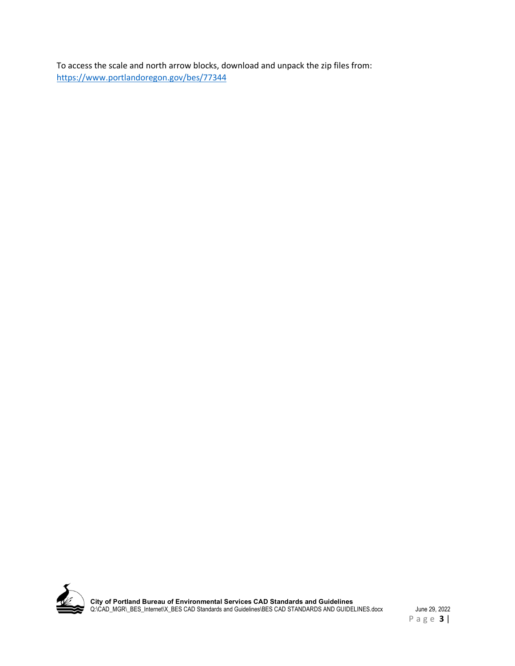To access the scale and north arrow blocks, download and unpack the zip files from: <https://www.portlandoregon.gov/bes/77344>

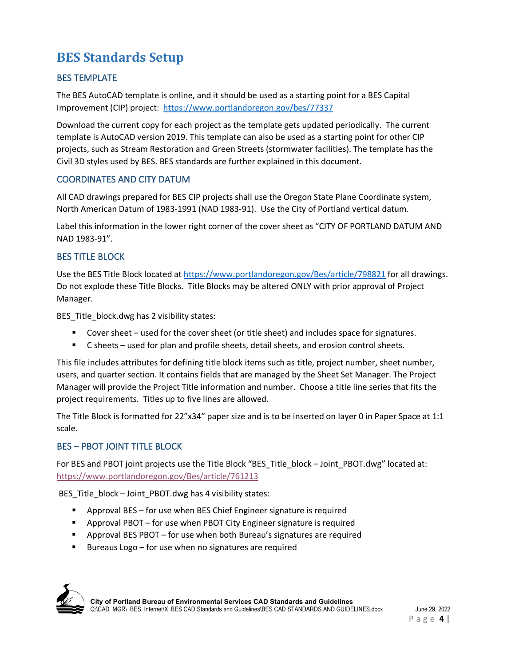## **BES Standards Setup**

## BES TEMPLATE

The BES AutoCAD template is online, and it should be used as a starting point for a BES Capital Improvement (CIP) project: <https://www.portlandoregon.gov/bes/77337>

Download the current copy for each project as the template gets updated periodically. The current template is AutoCAD version 2019. This template can also be used as a starting point for other CIP projects, such as Stream Restoration and Green Streets (stormwater facilities). The template has the Civil 3D styles used by BES. BES standards are further explained in this document.

### COORDINATES AND CITY DATUM

All CAD drawings prepared for BES CIP projects shall use the Oregon State Plane Coordinate system, North American Datum of 1983-1991 (NAD 1983-91). Use the City of Portland vertical datum.

Label this information in the lower right corner of the cover sheet as "CITY OF PORTLAND DATUM AND NAD 1983-91".

## BES TITLE BLOCK

Use the BES Title Block located a[t https://www.portlandoregon.gov/Bes/article/798821](https://www.portlandoregon.gov/Bes/article/798821) for all drawings. Do not explode these Title Blocks. Title Blocks may be altered ONLY with prior approval of Project Manager.

BES\_Title\_block.dwg has 2 visibility states:

- Cover sheet used for the cover sheet (or title sheet) and includes space for signatures.
- C sheets used for plan and profile sheets, detail sheets, and erosion control sheets.

This file includes attributes for defining title block items such as title, project number, sheet number, users, and quarter section. It contains fields that are managed by the Sheet Set Manager. The Project Manager will provide the Project Title information and number. Choose a title line series that fits the project requirements. Titles up to five lines are allowed.

The Title Block is formatted for 22"x34" paper size and is to be inserted on layer 0 in Paper Space at 1:1 scale.

## BES – PBOT JOINT TITLE BLOCK

For BES and PBOT joint projects use the Title Block "BES\_Title\_block – Joint\_PBOT.dwg" located at: <https://www.portlandoregon.gov/Bes/article/761213>

BES\_Title\_block – Joint\_PBOT.dwg has 4 visibility states:

- Approval BES for use when BES Chief Engineer signature is required
- Approval PBOT for use when PBOT City Engineer signature is required
- Approval BES PBOT for use when both Bureau's signatures are required
- Bureaus Logo for use when no signatures are required

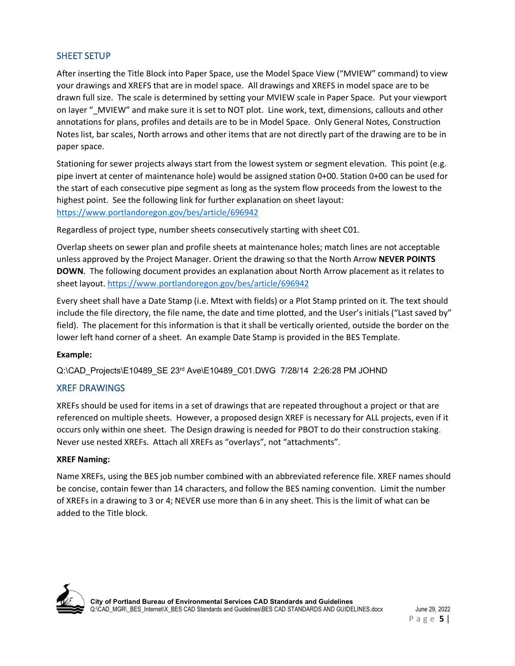### SHEET SETUP

After inserting the Title Block into Paper Space, use the Model Space View ("MVIEW" command) to view your drawings and XREFS that are in model space. All drawings and XREFS in model space are to be drawn full size. The scale is determined by setting your MVIEW scale in Paper Space. Put your viewport on layer " MVIEW" and make sure it is set to NOT plot. Line work, text, dimensions, callouts and other annotations for plans, profiles and details are to be in Model Space. Only General Notes, Construction Notes list, bar scales, North arrows and other items that are not directly part of the drawing are to be in paper space.

Stationing for sewer projects always start from the lowest system or segment elevation. This point (e.g. pipe invert at center of maintenance hole) would be assigned station 0+00. Station 0+00 can be used for the start of each consecutive pipe segment as long as the system flow proceeds from the lowest to the highest point. See the following link for further explanation on sheet layout: <https://www.portlandoregon.gov/bes/article/696942>

Regardless of project type, number sheets consecutively starting with sheet C01.

Overlap sheets on sewer plan and profile sheets at maintenance holes; match lines are not acceptable unless approved by the Project Manager. Orient the drawing so that the North Arrow **NEVER POINTS DOWN**. The following document provides an explanation about North Arrow placement as it relates to sheet layout.<https://www.portlandoregon.gov/bes/article/696942>

Every sheet shall have a Date Stamp (i.e. Mtext with fields) or a Plot Stamp printed on it. The text should include the file directory, the file name, the date and time plotted, and the User's initials ("Last saved by" field). The placement for this information is that it shall be vertically oriented, outside the border on the lower left hand corner of a sheet. An example Date Stamp is provided in the BES Template.

#### **Example:**

Q:\CAD\_Projects\E10489\_SE 23rd Ave\E10489\_C01.DWG 7/28/14 2:26:28 PM JOHND

#### XREF DRAWINGS

XREFs should be used for items in a set of drawings that are repeated throughout a project or that are referenced on multiple sheets. However, a proposed design XREF is necessary for ALL projects, even if it occurs only within one sheet. The Design drawing is needed for PBOT to do their construction staking. Never use nested XREFs. Attach all XREFs as "overlays", not "attachments".

#### **XREF Naming:**

Name XREFs, using the BES job number combined with an abbreviated reference file. XREF names should be concise, contain fewer than 14 characters, and follow the BES naming convention. Limit the number of XREFs in a drawing to 3 or 4; NEVER use more than 6 in any sheet. This is the limit of what can be added to the Title block.

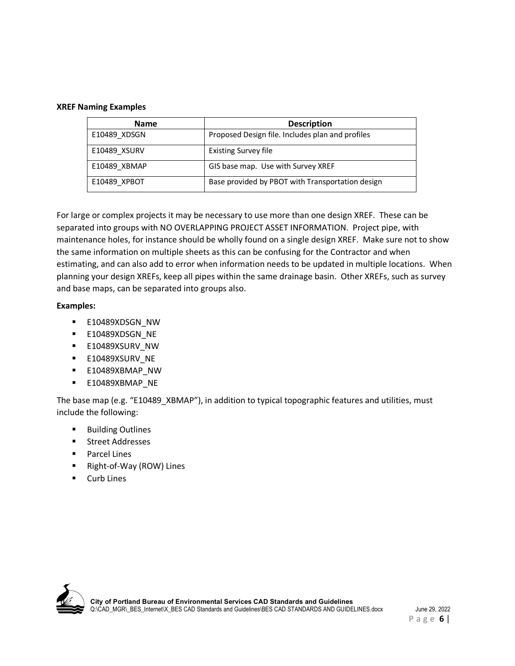#### **XREF Naming Examples**

| <b>Name</b>  | <b>Description</b>                               |
|--------------|--------------------------------------------------|
| E10489 XDSGN | Proposed Design file. Includes plan and profiles |
| E10489 XSURV | <b>Existing Survey file</b>                      |
| E10489 XBMAP | GIS base map. Use with Survey XREF               |
| E10489 XPBOT | Base provided by PBOT with Transportation design |

For large or complex projects it may be necessary to use more than one design XREF. These can be separated into groups with NO OVERLAPPING PROJECT ASSET INFORMATION. Project pipe, with maintenance holes, for instance should be wholly found on a single design XREF. Make sure not to show the same information on multiple sheets as this can be confusing for the Contractor and when estimating, and can also add to error when information needs to be updated in multiple locations. When planning your design XREFs, keep all pipes within the same drainage basin. Other XREFs, such as survey and base maps, can be separated into groups also.

#### **Examples:**

- **E10489XDSGN\_NW**
- **E10489XDSGN\_NE**
- **E10489XSURV\_NW**
- **E10489XSURV\_NE**
- **E10489XBMAP\_NW**
- E10489XBMAP\_NE

The base map (e.g. "E10489\_XBMAP"), in addition to typical topographic features and utilities, must include the following:

- **Building Outlines**
- **Street Addresses**
- Parcel Lines
- Right-of-Way (ROW) Lines
- Curb Lines

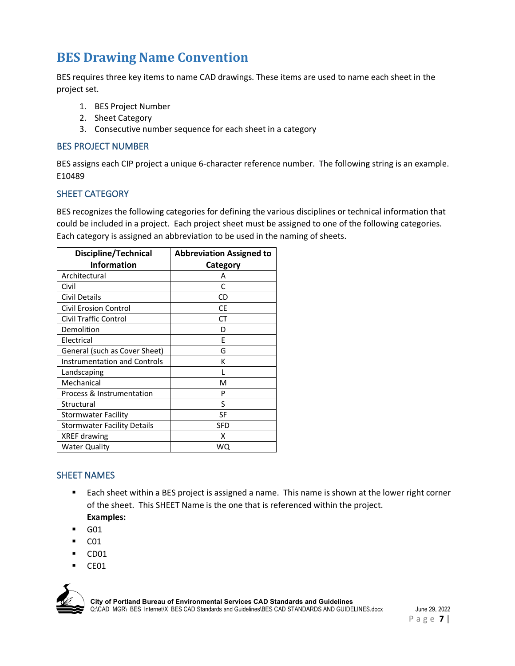## **BES Drawing Name Convention**

BES requires three key items to name CAD drawings. These items are used to name each sheet in the project set.

- 1. BES Project Number
- 2. Sheet Category
- 3. Consecutive number sequence for each sheet in a category

#### BES PROJECT NUMBER

BES assigns each CIP project a unique 6-character reference number. The following string is an example. E10489

#### SHEET CATEGORY

BES recognizes the following categories for defining the various disciplines or technical information that could be included in a project. Each project sheet must be assigned to one of the following categories. Each category is assigned an abbreviation to be used in the naming of sheets.

| <b>Discipline/Technical</b>         | <b>Abbreviation Assigned to</b> |
|-------------------------------------|---------------------------------|
| <b>Information</b>                  | Category                        |
| Architectural                       | А                               |
| Civil                               | C                               |
| Civil Details                       | CD                              |
| Civil Erosion Control               | СE                              |
| <b>Civil Traffic Control</b>        | СT                              |
| Demolition                          | D                               |
| Electrical                          | F                               |
| General (such as Cover Sheet)       | G                               |
| <b>Instrumentation and Controls</b> | К                               |
| Landscaping                         |                                 |
| Mechanical                          | м                               |
| Process & Instrumentation           | P                               |
| Structural                          | S                               |
| Stormwater Facility                 | SF                              |
| <b>Stormwater Facility Details</b>  | SFD                             |
| XREF drawing                        | x                               |
| <b>Water Quality</b>                | WO                              |

## SHEET NAMES

- **Each sheet within a BES project is assigned a name. This name is shown at the lower right corner** of the sheet. This SHEET Name is the one that is referenced within the project. **Examples:**
- G01
- C01
- CD01
- CE01



**City of Portland Bureau of Environmental Services CAD Standards and Guidelines** Q:\CAD\_MGR\\_BES\_Internet\X\_BES CAD Standards and Guidelines\BES CAD STANDARDS AND GUIDELINES.docx June 29, 2022